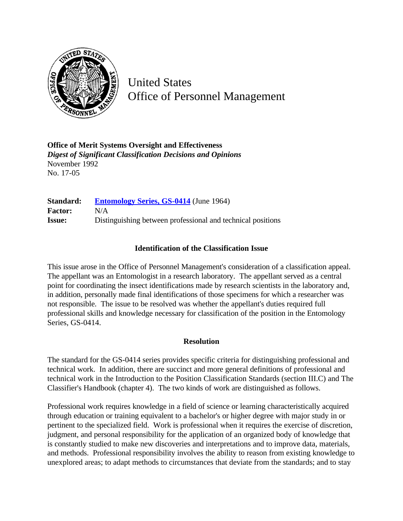

United States Office of Personnel Management

**Office of Merit Systems Oversight and Effectiveness** *Digest of Significant Classification Decisions and Opinions* November 1992 No. 17-05

**Standard: [Entomology Series, GS-0414](http://www.opm.gov/hr/fedclass/gs0414.pdf)** (June 1964) **Factor:** N/A **Issue:** Distinguishing between professional and technical positions

## **Identification of the Classification Issue**

This issue arose in the Office of Personnel Management's consideration of a classification appeal. The appellant was an Entomologist in a research laboratory. The appellant served as a central point for coordinating the insect identifications made by research scientists in the laboratory and, in addition, personally made final identifications of those specimens for which a researcher was not responsible. The issue to be resolved was whether the appellant's duties required full professional skills and knowledge necessary for classification of the position in the Entomology Series, GS-0414.

## **Resolution**

The standard for the GS-0414 series provides specific criteria for distinguishing professional and technical work. In addition, there are succinct and more general definitions of professional and technical work in the Introduction to the Position Classification Standards (section III.C) and The Classifier's Handbook (chapter 4). The two kinds of work are distinguished as follows.

Professional work requires knowledge in a field of science or learning characteristically acquired through education or training equivalent to a bachelor's or higher degree with major study in or pertinent to the specialized field. Work is professional when it requires the exercise of discretion, judgment, and personal responsibility for the application of an organized body of knowledge that is constantly studied to make new discoveries and interpretations and to improve data, materials, and methods. Professional responsibility involves the ability to reason from existing knowledge to unexplored areas; to adapt methods to circumstances that deviate from the standards; and to stay